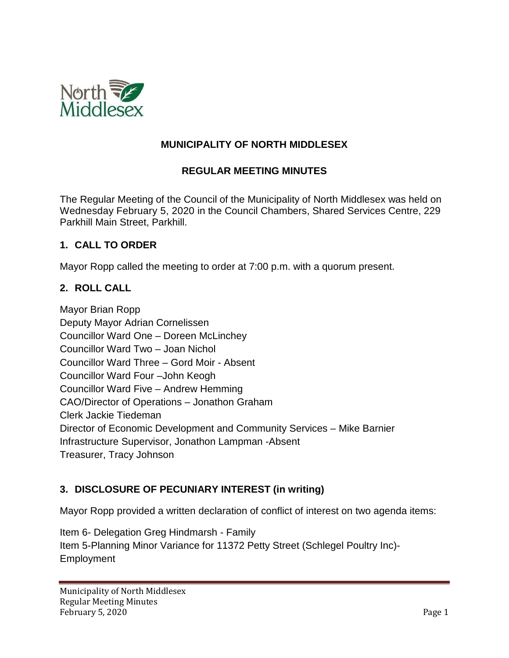

### **MUNICIPALITY OF NORTH MIDDLESEX**

### **REGULAR MEETING MINUTES**

The Regular Meeting of the Council of the Municipality of North Middlesex was held on Wednesday February 5, 2020 in the Council Chambers, Shared Services Centre, 229 Parkhill Main Street, Parkhill.

#### **1. CALL TO ORDER**

Mayor Ropp called the meeting to order at 7:00 p.m. with a quorum present.

### **2. ROLL CALL**

Mayor Brian Ropp Deputy Mayor Adrian Cornelissen Councillor Ward One – Doreen McLinchey Councillor Ward Two – Joan Nichol Councillor Ward Three – Gord Moir - Absent Councillor Ward Four –John Keogh Councillor Ward Five – Andrew Hemming CAO/Director of Operations – Jonathon Graham Clerk Jackie Tiedeman Director of Economic Development and Community Services – Mike Barnier Infrastructure Supervisor, Jonathon Lampman -Absent Treasurer, Tracy Johnson

### **3. DISCLOSURE OF PECUNIARY INTEREST (in writing)**

Mayor Ropp provided a written declaration of conflict of interest on two agenda items:

Item 6- Delegation Greg Hindmarsh - Family Item 5-Planning Minor Variance for 11372 Petty Street (Schlegel Poultry Inc)- Employment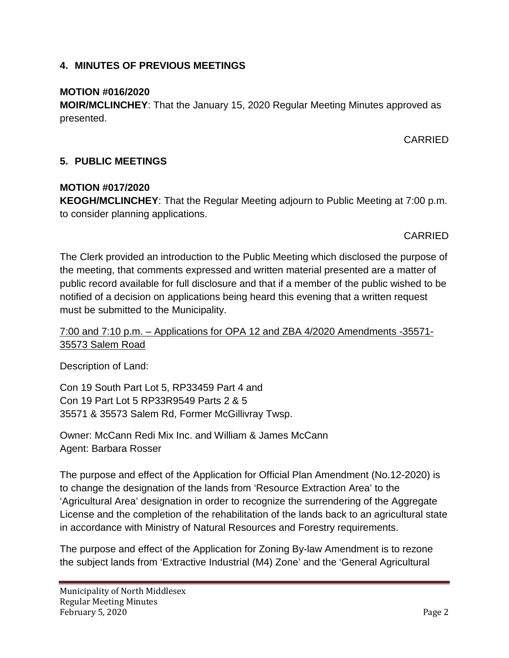### **4. MINUTES OF PREVIOUS MEETINGS**

### **MOTION #016/2020**

**MOIR/MCLINCHEY**: That the January 15, 2020 Regular Meeting Minutes approved as presented.

### CARRIED

### **5. PUBLIC MEETINGS**

### **MOTION #017/2020**

**KEOGH/MCLINCHEY**: That the Regular Meeting adjourn to Public Meeting at 7:00 p.m. to consider planning applications.

### CARRIED

The Clerk provided an introduction to the Public Meeting which disclosed the purpose of the meeting, that comments expressed and written material presented are a matter of public record available for full disclosure and that if a member of the public wished to be notified of a decision on applications being heard this evening that a written request must be submitted to the Municipality.

### 7:00 and 7:10 p.m. – Applications for OPA 12 and ZBA 4/2020 Amendments -35571- 35573 Salem Road

Description of Land:

Con 19 South Part Lot 5, RP33459 Part 4 and Con 19 Part Lot 5 RP33R9549 Parts 2 & 5 35571 & 35573 Salem Rd, Former McGillivray Twsp.

Owner: McCann Redi Mix Inc. and William & James McCann Agent: Barbara Rosser

The purpose and effect of the Application for Official Plan Amendment (No.12-2020) is to change the designation of the lands from 'Resource Extraction Area' to the 'Agricultural Area' designation in order to recognize the surrendering of the Aggregate License and the completion of the rehabilitation of the lands back to an agricultural state in accordance with Ministry of Natural Resources and Forestry requirements.

The purpose and effect of the Application for Zoning By-law Amendment is to rezone the subject lands from 'Extractive Industrial (M4) Zone' and the 'General Agricultural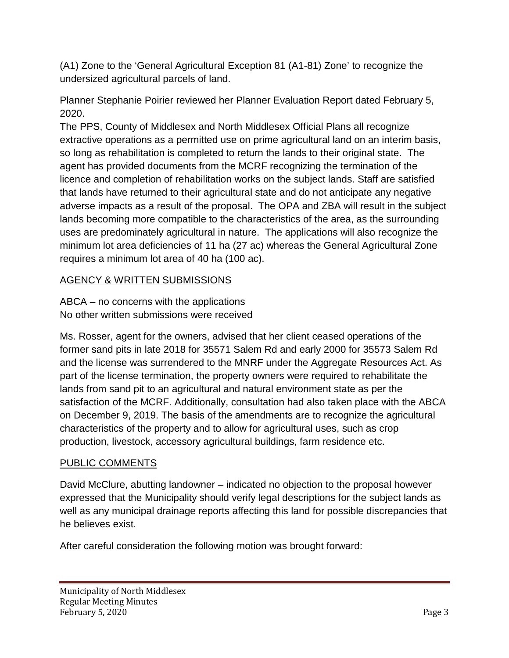(A1) Zone to the 'General Agricultural Exception 81 (A1-81) Zone' to recognize the undersized agricultural parcels of land.

Planner Stephanie Poirier reviewed her Planner Evaluation Report dated February 5, 2020.

The PPS, County of Middlesex and North Middlesex Official Plans all recognize extractive operations as a permitted use on prime agricultural land on an interim basis, so long as rehabilitation is completed to return the lands to their original state. The agent has provided documents from the MCRF recognizing the termination of the licence and completion of rehabilitation works on the subject lands. Staff are satisfied that lands have returned to their agricultural state and do not anticipate any negative adverse impacts as a result of the proposal. The OPA and ZBA will result in the subject lands becoming more compatible to the characteristics of the area, as the surrounding uses are predominately agricultural in nature. The applications will also recognize the minimum lot area deficiencies of 11 ha (27 ac) whereas the General Agricultural Zone requires a minimum lot area of 40 ha (100 ac).

# AGENCY & WRITTEN SUBMISSIONS

ABCA – no concerns with the applications No other written submissions were received

Ms. Rosser, agent for the owners, advised that her client ceased operations of the former sand pits in late 2018 for 35571 Salem Rd and early 2000 for 35573 Salem Rd and the license was surrendered to the MNRF under the Aggregate Resources Act. As part of the license termination, the property owners were required to rehabilitate the lands from sand pit to an agricultural and natural environment state as per the satisfaction of the MCRF. Additionally, consultation had also taken place with the ABCA on December 9, 2019. The basis of the amendments are to recognize the agricultural characteristics of the property and to allow for agricultural uses, such as crop production, livestock, accessory agricultural buildings, farm residence etc.

# PUBLIC COMMENTS

David McClure, abutting landowner – indicated no objection to the proposal however expressed that the Municipality should verify legal descriptions for the subject lands as well as any municipal drainage reports affecting this land for possible discrepancies that he believes exist.

After careful consideration the following motion was brought forward: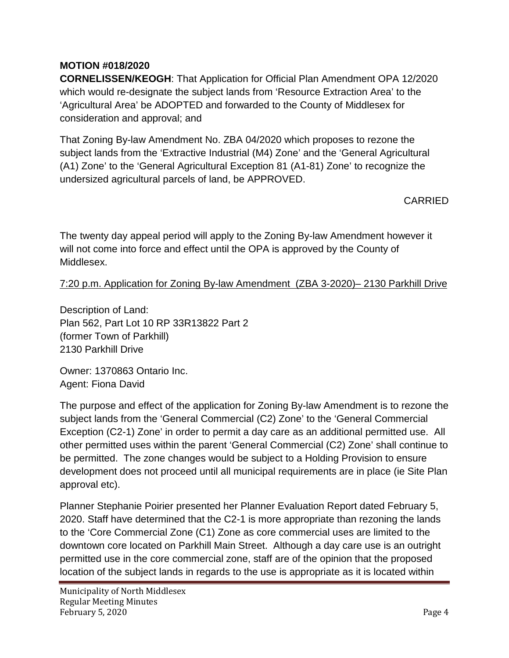## **MOTION #018/2020**

**CORNELISSEN/KEOGH**: That Application for Official Plan Amendment OPA 12/2020 which would re-designate the subject lands from 'Resource Extraction Area' to the 'Agricultural Area' be ADOPTED and forwarded to the County of Middlesex for consideration and approval; and

That Zoning By-law Amendment No. ZBA 04/2020 which proposes to rezone the subject lands from the 'Extractive Industrial (M4) Zone' and the 'General Agricultural (A1) Zone' to the 'General Agricultural Exception 81 (A1-81) Zone' to recognize the undersized agricultural parcels of land, be APPROVED.

CARRIED

The twenty day appeal period will apply to the Zoning By-law Amendment however it will not come into force and effect until the OPA is approved by the County of Middlesex.

7:20 p.m. Application for Zoning By-law Amendment (ZBA 3-2020)– 2130 Parkhill Drive

Description of Land: Plan 562, Part Lot 10 RP 33R13822 Part 2 (former Town of Parkhill) 2130 Parkhill Drive

Owner: 1370863 Ontario Inc. Agent: Fiona David

The purpose and effect of the application for Zoning By-law Amendment is to rezone the subject lands from the 'General Commercial (C2) Zone' to the 'General Commercial Exception (C2-1) Zone' in order to permit a day care as an additional permitted use. All other permitted uses within the parent 'General Commercial (C2) Zone' shall continue to be permitted. The zone changes would be subject to a Holding Provision to ensure development does not proceed until all municipal requirements are in place (ie Site Plan approval etc).

Planner Stephanie Poirier presented her Planner Evaluation Report dated February 5, 2020. Staff have determined that the C2-1 is more appropriate than rezoning the lands to the 'Core Commercial Zone (C1) Zone as core commercial uses are limited to the downtown core located on Parkhill Main Street. Although a day care use is an outright permitted use in the core commercial zone, staff are of the opinion that the proposed location of the subject lands in regards to the use is appropriate as it is located within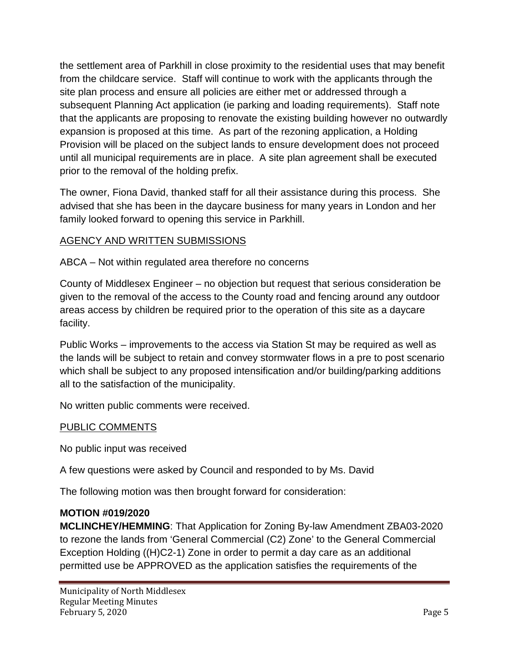the settlement area of Parkhill in close proximity to the residential uses that may benefit from the childcare service. Staff will continue to work with the applicants through the site plan process and ensure all policies are either met or addressed through a subsequent Planning Act application (ie parking and loading requirements). Staff note that the applicants are proposing to renovate the existing building however no outwardly expansion is proposed at this time. As part of the rezoning application, a Holding Provision will be placed on the subject lands to ensure development does not proceed until all municipal requirements are in place. A site plan agreement shall be executed prior to the removal of the holding prefix.

The owner, Fiona David, thanked staff for all their assistance during this process. She advised that she has been in the daycare business for many years in London and her family looked forward to opening this service in Parkhill.

## AGENCY AND WRITTEN SUBMISSIONS

ABCA – Not within regulated area therefore no concerns

County of Middlesex Engineer – no objection but request that serious consideration be given to the removal of the access to the County road and fencing around any outdoor areas access by children be required prior to the operation of this site as a daycare facility.

Public Works – improvements to the access via Station St may be required as well as the lands will be subject to retain and convey stormwater flows in a pre to post scenario which shall be subject to any proposed intensification and/or building/parking additions all to the satisfaction of the municipality.

No written public comments were received.

### PUBLIC COMMENTS

No public input was received

A few questions were asked by Council and responded to by Ms. David

The following motion was then brought forward for consideration:

### **MOTION #019/2020**

**MCLINCHEY/HEMMING**: That Application for Zoning By-law Amendment ZBA03-2020 to rezone the lands from 'General Commercial (C2) Zone' to the General Commercial Exception Holding ((H)C2-1) Zone in order to permit a day care as an additional permitted use be APPROVED as the application satisfies the requirements of the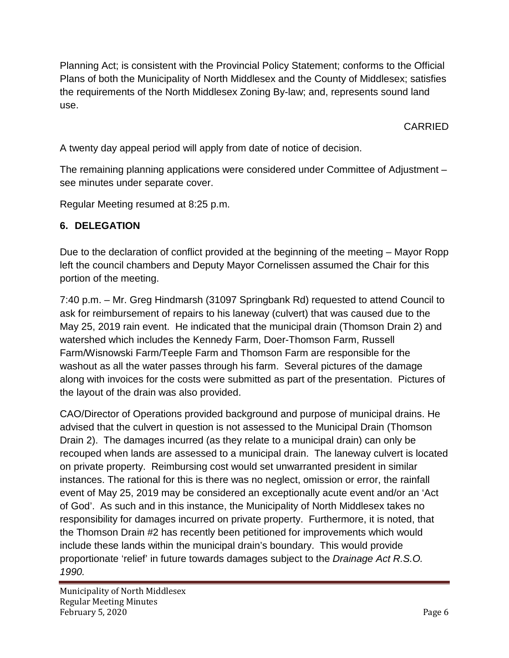Planning Act; is consistent with the Provincial Policy Statement; conforms to the Official Plans of both the Municipality of North Middlesex and the County of Middlesex; satisfies the requirements of the North Middlesex Zoning By-law; and, represents sound land use.

CARRIED

A twenty day appeal period will apply from date of notice of decision.

The remaining planning applications were considered under Committee of Adjustment – see minutes under separate cover.

Regular Meeting resumed at 8:25 p.m.

## **6. DELEGATION**

Due to the declaration of conflict provided at the beginning of the meeting – Mayor Ropp left the council chambers and Deputy Mayor Cornelissen assumed the Chair for this portion of the meeting.

7:40 p.m. – Mr. Greg Hindmarsh (31097 Springbank Rd) requested to attend Council to ask for reimbursement of repairs to his laneway (culvert) that was caused due to the May 25, 2019 rain event. He indicated that the municipal drain (Thomson Drain 2) and watershed which includes the Kennedy Farm, Doer-Thomson Farm, Russell Farm/Wisnowski Farm/Teeple Farm and Thomson Farm are responsible for the washout as all the water passes through his farm. Several pictures of the damage along with invoices for the costs were submitted as part of the presentation. Pictures of the layout of the drain was also provided.

CAO/Director of Operations provided background and purpose of municipal drains. He advised that the culvert in question is not assessed to the Municipal Drain (Thomson Drain 2). The damages incurred (as they relate to a municipal drain) can only be recouped when lands are assessed to a municipal drain. The laneway culvert is located on private property. Reimbursing cost would set unwarranted president in similar instances. The rational for this is there was no neglect, omission or error, the rainfall event of May 25, 2019 may be considered an exceptionally acute event and/or an 'Act of God'. As such and in this instance, the Municipality of North Middlesex takes no responsibility for damages incurred on private property. Furthermore, it is noted, that the Thomson Drain #2 has recently been petitioned for improvements which would include these lands within the municipal drain's boundary. This would provide proportionate 'relief' in future towards damages subject to the *Drainage Act R.S.O. 1990.*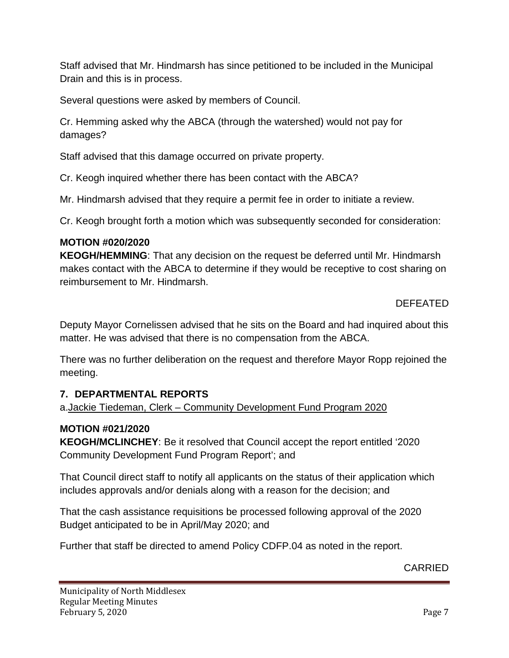Staff advised that Mr. Hindmarsh has since petitioned to be included in the Municipal Drain and this is in process.

Several questions were asked by members of Council.

Cr. Hemming asked why the ABCA (through the watershed) would not pay for damages?

Staff advised that this damage occurred on private property.

Cr. Keogh inquired whether there has been contact with the ABCA?

Mr. Hindmarsh advised that they require a permit fee in order to initiate a review.

Cr. Keogh brought forth a motion which was subsequently seconded for consideration:

### **MOTION #020/2020**

**KEOGH/HEMMING**: That any decision on the request be deferred until Mr. Hindmarsh makes contact with the ABCA to determine if they would be receptive to cost sharing on reimbursement to Mr. Hindmarsh.

DEFEATED

Deputy Mayor Cornelissen advised that he sits on the Board and had inquired about this matter. He was advised that there is no compensation from the ABCA.

There was no further deliberation on the request and therefore Mayor Ropp rejoined the meeting.

## **7. DEPARTMENTAL REPORTS**

a.Jackie Tiedeman, Clerk – Community Development Fund Program 2020

## **MOTION #021/2020**

**KEOGH/MCLINCHEY**: Be it resolved that Council accept the report entitled '2020 Community Development Fund Program Report'; and

That Council direct staff to notify all applicants on the status of their application which includes approvals and/or denials along with a reason for the decision; and

That the cash assistance requisitions be processed following approval of the 2020 Budget anticipated to be in April/May 2020; and

Further that staff be directed to amend Policy CDFP.04 as noted in the report.

# CARRIED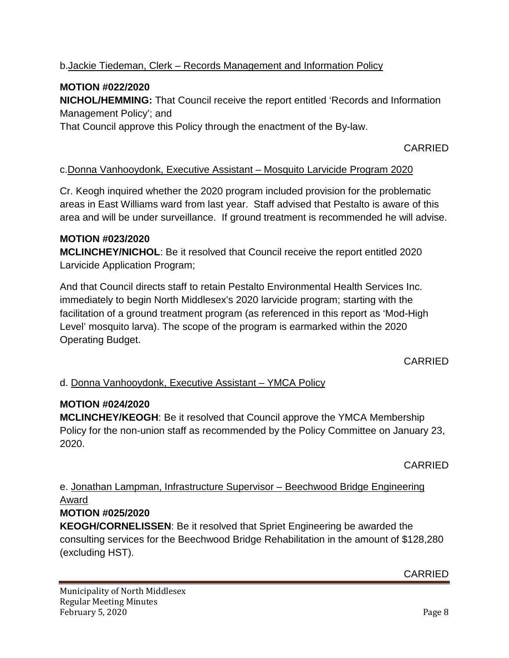## b.Jackie Tiedeman, Clerk – Records Management and Information Policy

## **MOTION #022/2020**

**NICHOL/HEMMING:** That Council receive the report entitled 'Records and Information Management Policy'; and

That Council approve this Policy through the enactment of the By-law.

### CARRIED

#### c.Donna Vanhooydonk, Executive Assistant – Mosquito Larvicide Program 2020

Cr. Keogh inquired whether the 2020 program included provision for the problematic areas in East Williams ward from last year. Staff advised that Pestalto is aware of this area and will be under surveillance. If ground treatment is recommended he will advise.

#### **MOTION #023/2020**

**MCLINCHEY/NICHOL**: Be it resolved that Council receive the report entitled 2020 Larvicide Application Program;

And that Council directs staff to retain Pestalto Environmental Health Services Inc. immediately to begin North Middlesex's 2020 larvicide program; starting with the facilitation of a ground treatment program (as referenced in this report as 'Mod-High Level' mosquito larva). The scope of the program is earmarked within the 2020 Operating Budget.

CARRIED

### d. Donna Vanhooydonk, Executive Assistant – YMCA Policy

### **MOTION #024/2020**

**MCLINCHEY/KEOGH**: Be it resolved that Council approve the YMCA Membership Policy for the non-union staff as recommended by the Policy Committee on January 23, 2020.

CARRIED

## e. Jonathan Lampman, Infrastructure Supervisor – Beechwood Bridge Engineering Award

### **MOTION #025/2020**

**KEOGH/CORNELISSEN**: Be it resolved that Spriet Engineering be awarded the consulting services for the Beechwood Bridge Rehabilitation in the amount of \$128,280 (excluding HST).

CARRIED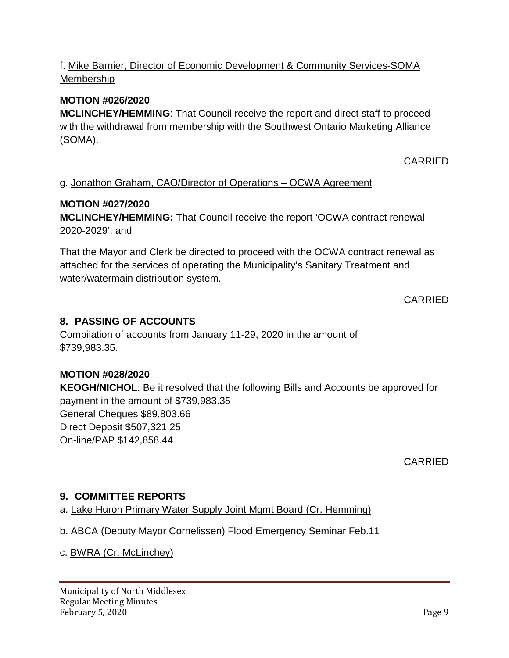## f. Mike Barnier, Director of Economic Development & Community Services-SOMA Membership

### **MOTION #026/2020**

**MCLINCHEY/HEMMING**: That Council receive the report and direct staff to proceed with the withdrawal from membership with the Southwest Ontario Marketing Alliance (SOMA).

CARRIED

### g. Jonathon Graham, CAO/Director of Operations – OCWA Agreement

#### **MOTION #027/2020**

**MCLINCHEY/HEMMING:** That Council receive the report 'OCWA contract renewal 2020-2029'; and

That the Mayor and Clerk be directed to proceed with the OCWA contract renewal as attached for the services of operating the Municipality's Sanitary Treatment and water/watermain distribution system.

### CARRIED

### **8. PASSING OF ACCOUNTS**

Compilation of accounts from January 11-29, 2020 in the amount of \$739,983.35.

#### **MOTION #028/2020**

**KEOGH/NICHOL**: Be it resolved that the following Bills and Accounts be approved for payment in the amount of \$739,983.35 General Cheques \$89,803.66 Direct Deposit \$507,321.25 On-line/PAP \$142,858.44

CARRIED

### **9. COMMITTEE REPORTS**

- a. Lake Huron Primary Water Supply Joint Mgmt Board (Cr. Hemming)
- b. ABCA (Deputy Mayor Cornelissen) Flood Emergency Seminar Feb.11
- c. BWRA (Cr. McLinchey)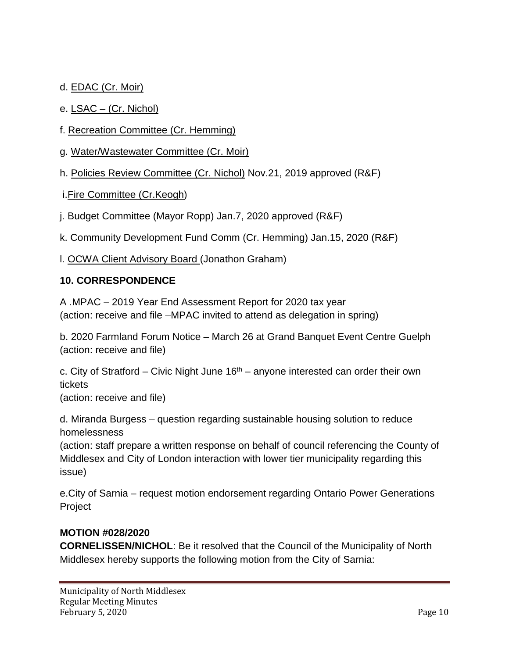## d. EDAC (Cr. Moir)

### e. LSAC – (Cr. Nichol)

- f. Recreation Committee (Cr. Hemming)
- g. Water/Wastewater Committee (Cr. Moir)
- h. Policies Review Committee (Cr. Nichol) Nov.21, 2019 approved (R&F)
- i.Fire Committee (Cr.Keogh)
- j. Budget Committee (Mayor Ropp) Jan.7, 2020 approved (R&F)

k. Community Development Fund Comm (Cr. Hemming) Jan.15, 2020 (R&F)

l. OCWA Client Advisory Board (Jonathon Graham)

### **10. CORRESPONDENCE**

A .MPAC – 2019 Year End Assessment Report for 2020 tax year (action: receive and file –MPAC invited to attend as delegation in spring)

b. 2020 Farmland Forum Notice – March 26 at Grand Banquet Event Centre Guelph (action: receive and file)

c. City of Stratford – Civic Night June  $16<sup>th</sup>$  – anyone interested can order their own tickets (action: receive and file)

d. Miranda Burgess – question regarding sustainable housing solution to reduce homelessness

(action: staff prepare a written response on behalf of council referencing the County of Middlesex and City of London interaction with lower tier municipality regarding this issue)

e.City of Sarnia – request motion endorsement regarding Ontario Power Generations Project

### **MOTION #028/2020**

**CORNELISSEN/NICHOL**: Be it resolved that the Council of the Municipality of North Middlesex hereby supports the following motion from the City of Sarnia: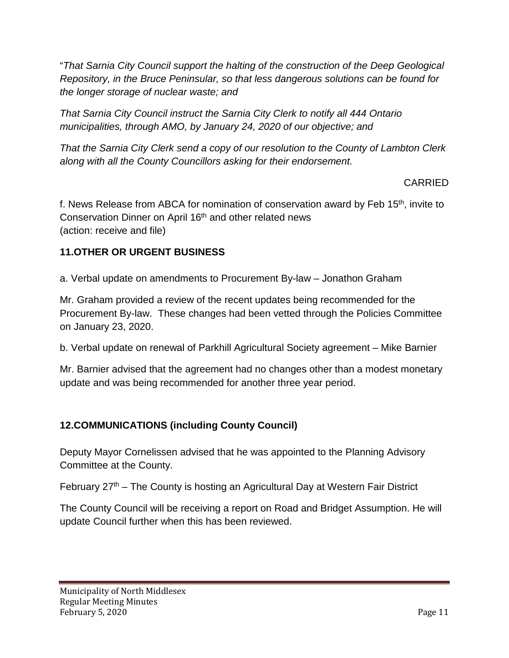"*That Sarnia City Council support the halting of the construction of the Deep Geological Repository, in the Bruce Peninsular, so that less dangerous solutions can be found for the longer storage of nuclear waste; and*

*That Sarnia City Council instruct the Sarnia City Clerk to notify all 444 Ontario municipalities, through AMO, by January 24, 2020 of our objective; and*

*That the Sarnia City Clerk send a copy of our resolution to the County of Lambton Clerk along with all the County Councillors asking for their endorsement.*

## CARRIED

f. News Release from ABCA for nomination of conservation award by Feb 15<sup>th</sup>, invite to Conservation Dinner on April 16<sup>th</sup> and other related news (action: receive and file)

## **11.OTHER OR URGENT BUSINESS**

a. Verbal update on amendments to Procurement By-law – Jonathon Graham

Mr. Graham provided a review of the recent updates being recommended for the Procurement By-law. These changes had been vetted through the Policies Committee on January 23, 2020.

b. Verbal update on renewal of Parkhill Agricultural Society agreement – Mike Barnier

Mr. Barnier advised that the agreement had no changes other than a modest monetary update and was being recommended for another three year period.

# **12.COMMUNICATIONS (including County Council)**

Deputy Mayor Cornelissen advised that he was appointed to the Planning Advisory Committee at the County.

February  $27<sup>th</sup>$  – The County is hosting an Agricultural Day at Western Fair District

The County Council will be receiving a report on Road and Bridget Assumption. He will update Council further when this has been reviewed.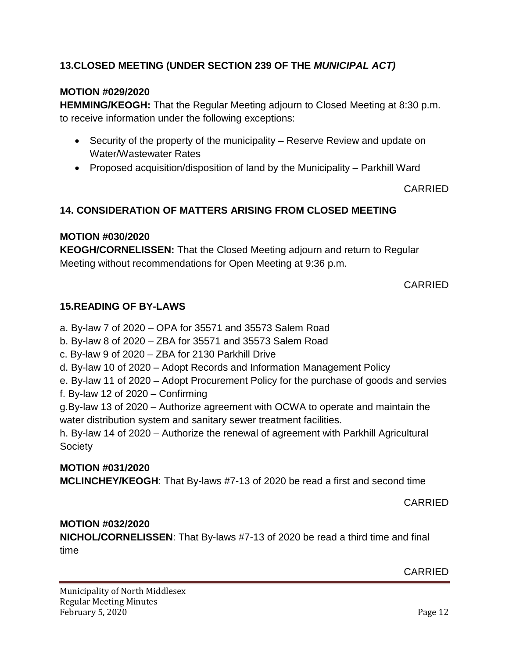## **13.CLOSED MEETING (UNDER SECTION 239 OF THE** *MUNICIPAL ACT)*

### **MOTION #029/2020**

**HEMMING/KEOGH:** That the Regular Meeting adjourn to Closed Meeting at 8:30 p.m. to receive information under the following exceptions:

- Security of the property of the municipality Reserve Review and update on Water/Wastewater Rates
- Proposed acquisition/disposition of land by the Municipality Parkhill Ward

CARRIED

## **14. CONSIDERATION OF MATTERS ARISING FROM CLOSED MEETING**

### **MOTION #030/2020**

**KEOGH/CORNELISSEN:** That the Closed Meeting adjourn and return to Regular Meeting without recommendations for Open Meeting at 9:36 p.m.

CARRIED

### **15.READING OF BY-LAWS**

a. By-law 7 of 2020 – OPA for 35571 and 35573 Salem Road

- b. By-law 8 of 2020 ZBA for 35571 and 35573 Salem Road
- c. By-law 9 of 2020 ZBA for 2130 Parkhill Drive
- d. By-law 10 of 2020 Adopt Records and Information Management Policy

e. By-law 11 of 2020 – Adopt Procurement Policy for the purchase of goods and servies

f. By-law 12 of 2020 – Confirming

g.By-law 13 of 2020 – Authorize agreement with OCWA to operate and maintain the water distribution system and sanitary sewer treatment facilities.

h. By-law 14 of 2020 – Authorize the renewal of agreement with Parkhill Agricultural **Society** 

### **MOTION #031/2020**

**MCLINCHEY/KEOGH**: That By-laws #7-13 of 2020 be read a first and second time

CARRIED

### **MOTION #032/2020**

**NICHOL/CORNELISSEN**: That By-laws #7-13 of 2020 be read a third time and final time

CARRIED